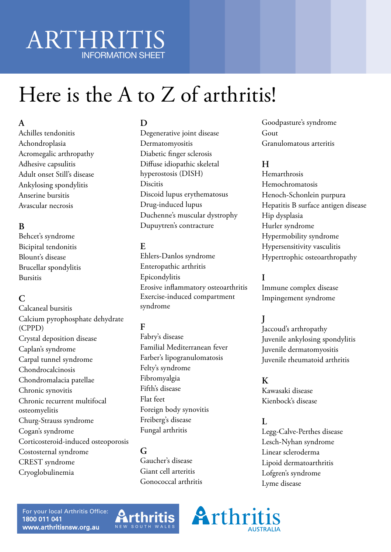# ARTHRITIS INFORMATION SHEET

# Here is the A to Z of arthritis!

# **A**

Achilles tendonitis Achondroplasia Acromegalic arthropathy Adhesive capsulitis Adult onset Still's disease Ankylosing spondylitis Anserine bursitis Avascular necrosis

# **B**

Behcet's syndrome Bicipital tendonitis Blount's disease Brucellar spondylitis Bursitis

# **C**

Calcaneal bursitis Calcium pyrophosphate dehydrate (CPPD) Crystal deposition disease Caplan's syndrome Carpal tunnel syndrome Chondrocalcinosis Chondromalacia patellae Chronic synovitis Chronic recurrent multifocal osteomyelitis Churg-Strauss syndrome Cogan's syndrome Corticosteroid-induced osteoporosis Costosternal syndrome CREST syndrome Cryoglobulinemia

# **D**

Degenerative joint disease Dermatomyositis Diabetic finger sclerosis Diffuse idiopathic skeletal hyperostosis (DISH) Discitis Discoid lupus erythematosus Drug-induced lupus Duchenne's muscular dystrophy Dupuytren's contracture

# **E**

Ehlers-Danlos syndrome Enteropathic arthritis Epicondylitis Erosive inflammatory osteoarthritis Exercise-induced compartment syndrome

# **F**

Fabry's disease Familial Mediterranean fever Farber's lipogranulomatosis Felty's syndrome Fibromyalgia Fifth's disease Flat feet Foreign body synovitis Freiberg's disease Fungal arthritis

#### **G** Gaucher's disease Giant cell arteritis Gonococcal arthritis

Goodpasture's syndrome Gout Granulomatous arteritis

# **H**

Hemarthrosis Hemochromatosis Henoch-Schonlein purpura Hepatitis B surface antigen disease Hip dysplasia Hurler syndrome Hypermobility syndrome Hypersensitivity vasculitis Hypertrophic osteoarthropathy

# **I**

Immune complex disease Impingement syndrome

# **J**

Jaccoud's arthropathy Juvenile ankylosing spondylitis Juvenile dermatomyositis Juvenile rheumatoid arthritis

#### **K**

Kawasaki disease Kienbock's disease

# $\mathbf{L}$

Legg-Calve-Perthes disease Lesch-Nyhan syndrome Linear scleroderma Lipoid dermatoarthritis Lofgren's syndrome Lyme disease

For your local Arthritis Office: 1800 011 041 www.arthritisnsw.org.au